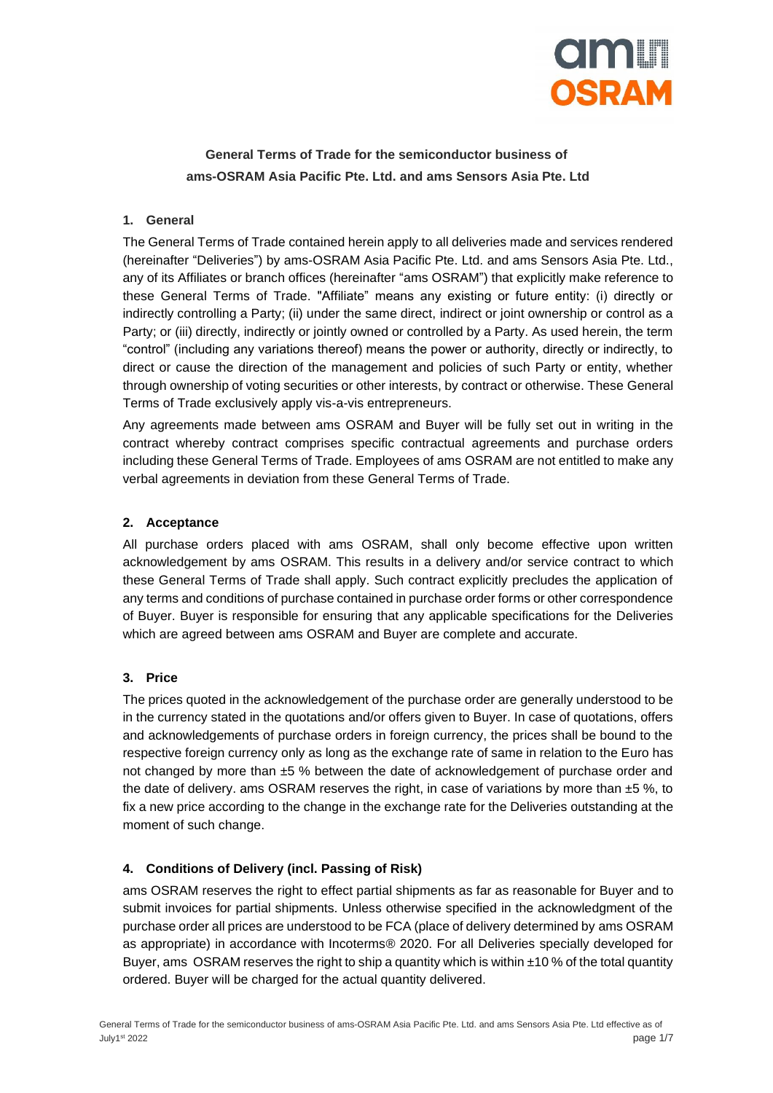

# **General Terms of Trade for the semiconductor business of ams-OSRAM Asia Pacific Pte. Ltd. and ams Sensors Asia Pte. Ltd**

# **1. General**

The General Terms of Trade contained herein apply to all deliveries made and services rendered (hereinafter "Deliveries") by ams-OSRAM Asia Pacific Pte. Ltd. and ams Sensors Asia Pte. Ltd., any of its Affiliates or branch offices (hereinafter "ams OSRAM") that explicitly make reference to these General Terms of Trade. "Affiliate" means any existing or future entity: (i) directly or indirectly controlling a Party; (ii) under the same direct, indirect or joint ownership or control as a Party; or (iii) directly, indirectly or jointly owned or controlled by a Party. As used herein, the term "control" (including any variations thereof) means the power or authority, directly or indirectly, to direct or cause the direction of the management and policies of such Party or entity, whether through ownership of voting securities or other interests, by contract or otherwise. These General Terms of Trade exclusively apply vis-a-vis entrepreneurs.

Any agreements made between ams OSRAM and Buyer will be fully set out in writing in the contract whereby contract comprises specific contractual agreements and purchase orders including these General Terms of Trade. Employees of ams OSRAM are not entitled to make any verbal agreements in deviation from these General Terms of Trade.

#### **2. Acceptance**

All purchase orders placed with ams OSRAM, shall only become effective upon written acknowledgement by ams OSRAM. This results in a delivery and/or service contract to which these General Terms of Trade shall apply. Such contract explicitly precludes the application of any terms and conditions of purchase contained in purchase order forms or other correspondence of Buyer. Buyer is responsible for ensuring that any applicable specifications for the Deliveries which are agreed between ams OSRAM and Buyer are complete and accurate.

# **3. Price**

The prices quoted in the acknowledgement of the purchase order are generally understood to be in the currency stated in the quotations and/or offers given to Buyer. In case of quotations, offers and acknowledgements of purchase orders in foreign currency, the prices shall be bound to the respective foreign currency only as long as the exchange rate of same in relation to the Euro has not changed by more than ±5 % between the date of acknowledgement of purchase order and the date of delivery. ams OSRAM reserves the right, in case of variations by more than ±5 %, to fix a new price according to the change in the exchange rate for the Deliveries outstanding at the moment of such change.

# **4. Conditions of Delivery (incl. Passing of Risk)**

ams OSRAM reserves the right to effect partial shipments as far as reasonable for Buyer and to submit invoices for partial shipments. Unless otherwise specified in the acknowledgment of the purchase order all prices are understood to be FCA (place of delivery determined by ams OSRAM as appropriate) in accordance with Incoterms® 2020. For all Deliveries specially developed for Buyer, ams OSRAM reserves the right to ship a quantity which is within  $\pm 10\%$  of the total quantity ordered. Buyer will be charged for the actual quantity delivered.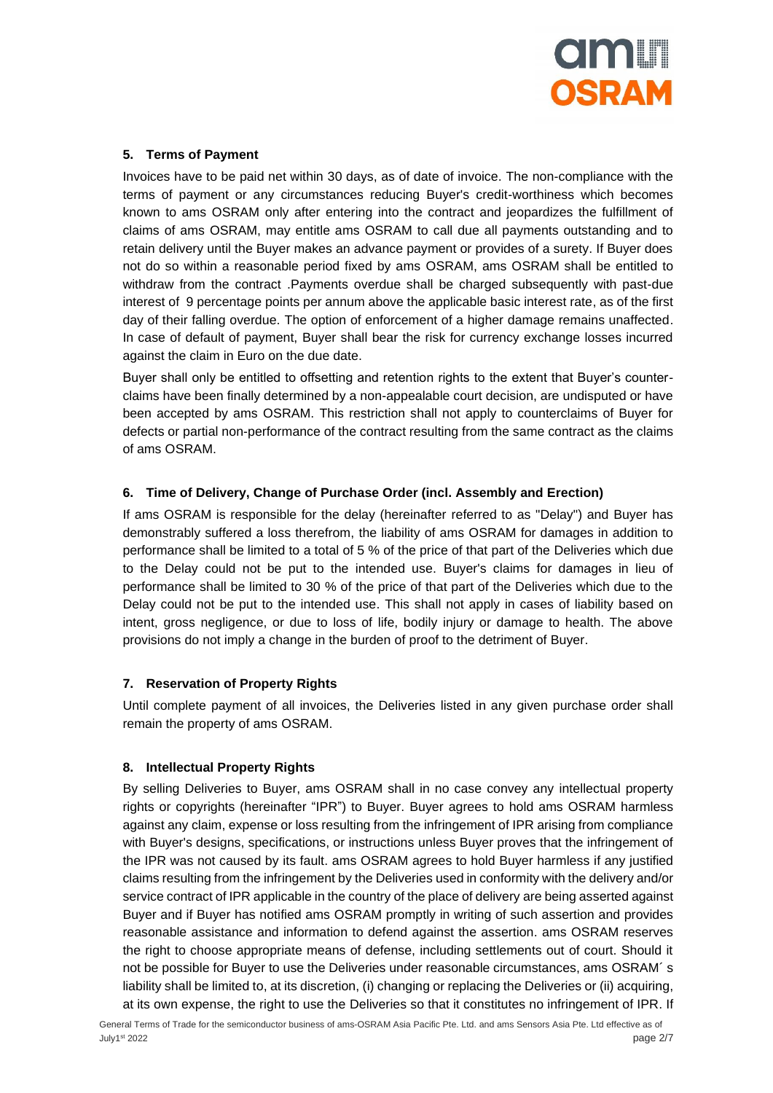

# **5. Terms of Payment**

Invoices have to be paid net within 30 days, as of date of invoice. The non-compliance with the terms of payment or any circumstances reducing Buyer's credit-worthiness which becomes known to ams OSRAM only after entering into the contract and jeopardizes the fulfillment of claims of ams OSRAM, may entitle ams OSRAM to call due all payments outstanding and to retain delivery until the Buyer makes an advance payment or provides of a surety. If Buyer does not do so within a reasonable period fixed by ams OSRAM, ams OSRAM shall be entitled to withdraw from the contract .Payments overdue shall be charged subsequently with past-due interest of 9 percentage points per annum above the applicable basic interest rate, as of the first day of their falling overdue. The option of enforcement of a higher damage remains unaffected. In case of default of payment, Buyer shall bear the risk for currency exchange losses incurred against the claim in Euro on the due date.

Buyer shall only be entitled to offsetting and retention rights to the extent that Buyer's counterclaims have been finally determined by a non-appealable court decision, are undisputed or have been accepted by ams OSRAM. This restriction shall not apply to counterclaims of Buyer for defects or partial non-performance of the contract resulting from the same contract as the claims of ams OSRAM.

# **6. Time of Delivery, Change of Purchase Order (incl. Assembly and Erection)**

If ams OSRAM is responsible for the delay (hereinafter referred to as "Delay") and Buyer has demonstrably suffered a loss therefrom, the liability of ams OSRAM for damages in addition to performance shall be limited to a total of 5 % of the price of that part of the Deliveries which due to the Delay could not be put to the intended use. Buyer's claims for damages in lieu of performance shall be limited to 30 % of the price of that part of the Deliveries which due to the Delay could not be put to the intended use. This shall not apply in cases of liability based on intent, gross negligence, or due to loss of life, bodily injury or damage to health. The above provisions do not imply a change in the burden of proof to the detriment of Buyer.

# **7. Reservation of Property Rights**

Until complete payment of all invoices, the Deliveries listed in any given purchase order shall remain the property of ams OSRAM.

#### **8. Intellectual Property Rights**

By selling Deliveries to Buyer, ams OSRAM shall in no case convey any intellectual property rights or copyrights (hereinafter "IPR") to Buyer. Buyer agrees to hold ams OSRAM harmless against any claim, expense or loss resulting from the infringement of IPR arising from compliance with Buyer's designs, specifications, or instructions unless Buyer proves that the infringement of the IPR was not caused by its fault. ams OSRAM agrees to hold Buyer harmless if any justified claims resulting from the infringement by the Deliveries used in conformity with the delivery and/or service contract of IPR applicable in the country of the place of delivery are being asserted against Buyer and if Buyer has notified ams OSRAM promptly in writing of such assertion and provides reasonable assistance and information to defend against the assertion. ams OSRAM reserves the right to choose appropriate means of defense, including settlements out of court. Should it not be possible for Buyer to use the Deliveries under reasonable circumstances, ams OSRAM´ s liability shall be limited to, at its discretion, (i) changing or replacing the Deliveries or (ii) acquiring, at its own expense, the right to use the Deliveries so that it constitutes no infringement of IPR. If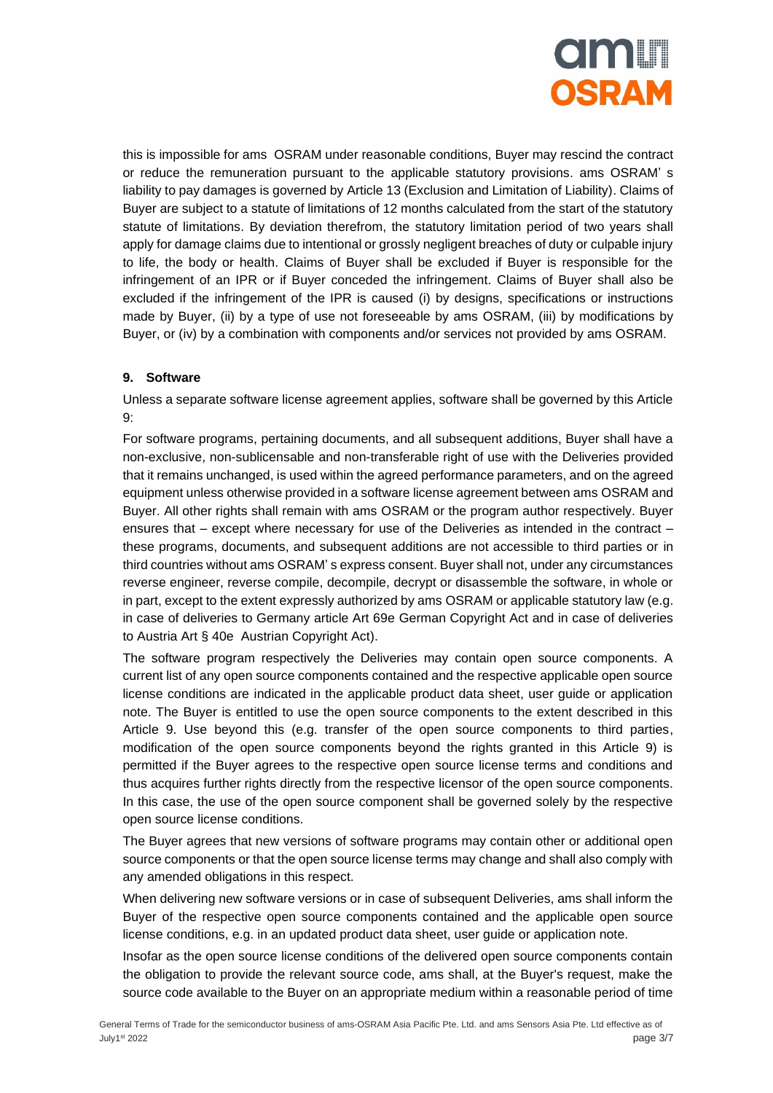

this is impossible for ams OSRAM under reasonable conditions, Buyer may rescind the contract or reduce the remuneration pursuant to the applicable statutory provisions. ams OSRAM' s liability to pay damages is governed by Article 13 (Exclusion and Limitation of Liability). Claims of Buyer are subject to a statute of limitations of 12 months calculated from the start of the statutory statute of limitations. By deviation therefrom, the statutory limitation period of two years shall apply for damage claims due to intentional or grossly negligent breaches of duty or culpable injury to life, the body or health. Claims of Buyer shall be excluded if Buyer is responsible for the infringement of an IPR or if Buyer conceded the infringement. Claims of Buyer shall also be excluded if the infringement of the IPR is caused (i) by designs, specifications or instructions made by Buyer, (ii) by a type of use not foreseeable by ams OSRAM, (iii) by modifications by Buyer, or (iv) by a combination with components and/or services not provided by ams OSRAM.

# **9. Software**

Unless a separate software license agreement applies, software shall be governed by this Article 9:

For software programs, pertaining documents, and all subsequent additions, Buyer shall have a non-exclusive, non-sublicensable and non-transferable right of use with the Deliveries provided that it remains unchanged, is used within the agreed performance parameters, and on the agreed equipment unless otherwise provided in a software license agreement between ams OSRAM and Buyer. All other rights shall remain with ams OSRAM or the program author respectively. Buyer ensures that – except where necessary for use of the Deliveries as intended in the contract – these programs, documents, and subsequent additions are not accessible to third parties or in third countries without ams OSRAM' s express consent. Buyer shall not, under any circumstances reverse engineer, reverse compile, decompile, decrypt or disassemble the software, in whole or in part, except to the extent expressly authorized by ams OSRAM or applicable statutory law (e.g. in case of deliveries to Germany article Art 69e German Copyright Act and in case of deliveries to Austria Art § 40e Austrian Copyright Act).

The software program respectively the Deliveries may contain open source components. A current list of any open source components contained and the respective applicable open source license conditions are indicated in the applicable product data sheet, user guide or application note. The Buyer is entitled to use the open source components to the extent described in this Article 9. Use beyond this (e.g. transfer of the open source components to third parties, modification of the open source components beyond the rights granted in this Article 9) is permitted if the Buyer agrees to the respective open source license terms and conditions and thus acquires further rights directly from the respective licensor of the open source components. In this case, the use of the open source component shall be governed solely by the respective open source license conditions.

The Buyer agrees that new versions of software programs may contain other or additional open source components or that the open source license terms may change and shall also comply with any amended obligations in this respect.

When delivering new software versions or in case of subsequent Deliveries, ams shall inform the Buyer of the respective open source components contained and the applicable open source license conditions, e.g. in an updated product data sheet, user guide or application note.

Insofar as the open source license conditions of the delivered open source components contain the obligation to provide the relevant source code, ams shall, at the Buyer's request, make the source code available to the Buyer on an appropriate medium within a reasonable period of time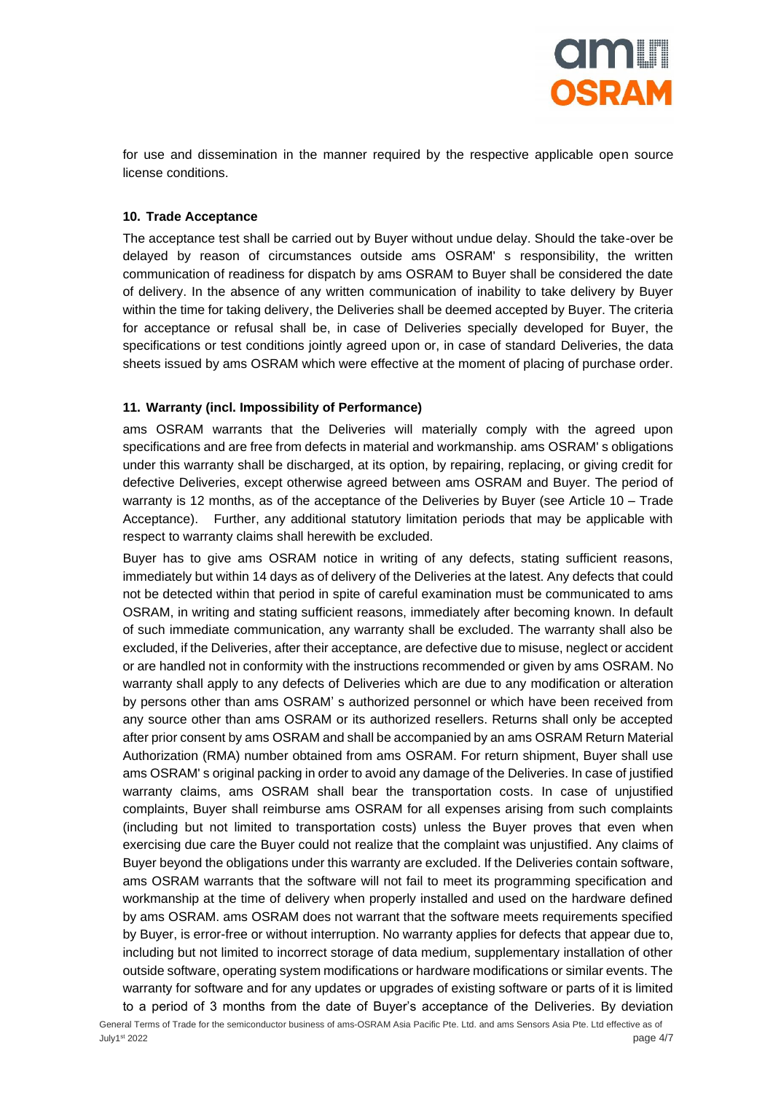

for use and dissemination in the manner required by the respective applicable open source license conditions.

#### **10. Trade Acceptance**

The acceptance test shall be carried out by Buyer without undue delay. Should the take-over be delayed by reason of circumstances outside ams OSRAM' s responsibility, the written communication of readiness for dispatch by ams OSRAM to Buyer shall be considered the date of delivery. In the absence of any written communication of inability to take delivery by Buyer within the time for taking delivery, the Deliveries shall be deemed accepted by Buyer. The criteria for acceptance or refusal shall be, in case of Deliveries specially developed for Buyer, the specifications or test conditions jointly agreed upon or, in case of standard Deliveries, the data sheets issued by ams OSRAM which were effective at the moment of placing of purchase order.

#### **11. Warranty (incl. Impossibility of Performance)**

ams OSRAM warrants that the Deliveries will materially comply with the agreed upon specifications and are free from defects in material and workmanship. ams OSRAM' s obligations under this warranty shall be discharged, at its option, by repairing, replacing, or giving credit for defective Deliveries, except otherwise agreed between ams OSRAM and Buyer. The period of warranty is 12 months, as of the acceptance of the Deliveries by Buyer (see Article 10 – Trade Acceptance). Further, any additional statutory limitation periods that may be applicable with respect to warranty claims shall herewith be excluded.

Buyer has to give ams OSRAM notice in writing of any defects, stating sufficient reasons, immediately but within 14 days as of delivery of the Deliveries at the latest. Any defects that could not be detected within that period in spite of careful examination must be communicated to ams OSRAM, in writing and stating sufficient reasons, immediately after becoming known. In default of such immediate communication, any warranty shall be excluded. The warranty shall also be excluded, if the Deliveries, after their acceptance, are defective due to misuse, neglect or accident or are handled not in conformity with the instructions recommended or given by ams OSRAM. No warranty shall apply to any defects of Deliveries which are due to any modification or alteration by persons other than ams OSRAM' s authorized personnel or which have been received from any source other than ams OSRAM or its authorized resellers. Returns shall only be accepted after prior consent by ams OSRAM and shall be accompanied by an ams OSRAM Return Material Authorization (RMA) number obtained from ams OSRAM. For return shipment, Buyer shall use ams OSRAM' s original packing in order to avoid any damage of the Deliveries. In case of justified warranty claims, ams OSRAM shall bear the transportation costs. In case of unjustified complaints, Buyer shall reimburse ams OSRAM for all expenses arising from such complaints (including but not limited to transportation costs) unless the Buyer proves that even when exercising due care the Buyer could not realize that the complaint was unjustified. Any claims of Buyer beyond the obligations under this warranty are excluded. If the Deliveries contain software, ams OSRAM warrants that the software will not fail to meet its programming specification and workmanship at the time of delivery when properly installed and used on the hardware defined by ams OSRAM. ams OSRAM does not warrant that the software meets requirements specified by Buyer, is error-free or without interruption. No warranty applies for defects that appear due to, including but not limited to incorrect storage of data medium, supplementary installation of other outside software, operating system modifications or hardware modifications or similar events. The warranty for software and for any updates or upgrades of existing software or parts of it is limited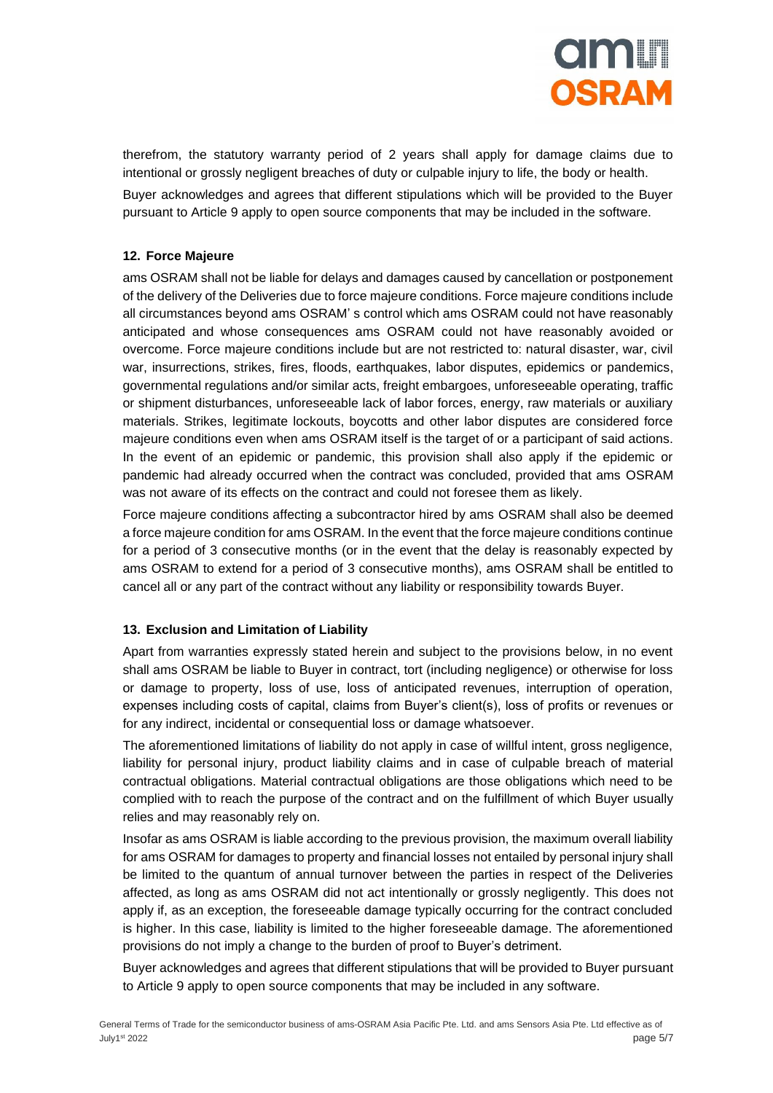

therefrom, the statutory warranty period of 2 years shall apply for damage claims due to intentional or grossly negligent breaches of duty or culpable injury to life, the body or health.

Buyer acknowledges and agrees that different stipulations which will be provided to the Buyer pursuant to Article 9 apply to open source components that may be included in the software.

#### **12. Force Majeure**

ams OSRAM shall not be liable for delays and damages caused by cancellation or postponement of the delivery of the Deliveries due to force majeure conditions. Force majeure conditions include all circumstances beyond ams OSRAM' s control which ams OSRAM could not have reasonably anticipated and whose consequences ams OSRAM could not have reasonably avoided or overcome. Force majeure conditions include but are not restricted to: natural disaster, war, civil war, insurrections, strikes, fires, floods, earthquakes, labor disputes, epidemics or pandemics, governmental regulations and/or similar acts, freight embargoes, unforeseeable operating, traffic or shipment disturbances, unforeseeable lack of labor forces, energy, raw materials or auxiliary materials. Strikes, legitimate lockouts, boycotts and other labor disputes are considered force majeure conditions even when ams OSRAM itself is the target of or a participant of said actions. In the event of an epidemic or pandemic, this provision shall also apply if the epidemic or pandemic had already occurred when the contract was concluded, provided that ams OSRAM was not aware of its effects on the contract and could not foresee them as likely.

Force majeure conditions affecting a subcontractor hired by ams OSRAM shall also be deemed a force majeure condition for ams OSRAM. In the event that the force majeure conditions continue for a period of 3 consecutive months (or in the event that the delay is reasonably expected by ams OSRAM to extend for a period of 3 consecutive months), ams OSRAM shall be entitled to cancel all or any part of the contract without any liability or responsibility towards Buyer.

#### **13. Exclusion and Limitation of Liability**

Apart from warranties expressly stated herein and subject to the provisions below, in no event shall ams OSRAM be liable to Buyer in contract, tort (including negligence) or otherwise for loss or damage to property, loss of use, loss of anticipated revenues, interruption of operation, expenses including costs of capital, claims from Buyer's client(s), loss of profits or revenues or for any indirect, incidental or consequential loss or damage whatsoever.

The aforementioned limitations of liability do not apply in case of willful intent, gross negligence, liability for personal injury, product liability claims and in case of culpable breach of material contractual obligations. Material contractual obligations are those obligations which need to be complied with to reach the purpose of the contract and on the fulfillment of which Buyer usually relies and may reasonably rely on.

Insofar as ams OSRAM is liable according to the previous provision, the maximum overall liability for ams OSRAM for damages to property and financial losses not entailed by personal injury shall be limited to the quantum of annual turnover between the parties in respect of the Deliveries affected, as long as ams OSRAM did not act intentionally or grossly negligently. This does not apply if, as an exception, the foreseeable damage typically occurring for the contract concluded is higher. In this case, liability is limited to the higher foreseeable damage. The aforementioned provisions do not imply a change to the burden of proof to Buyer's detriment.

Buyer acknowledges and agrees that different stipulations that will be provided to Buyer pursuant to Article 9 apply to open source components that may be included in any software.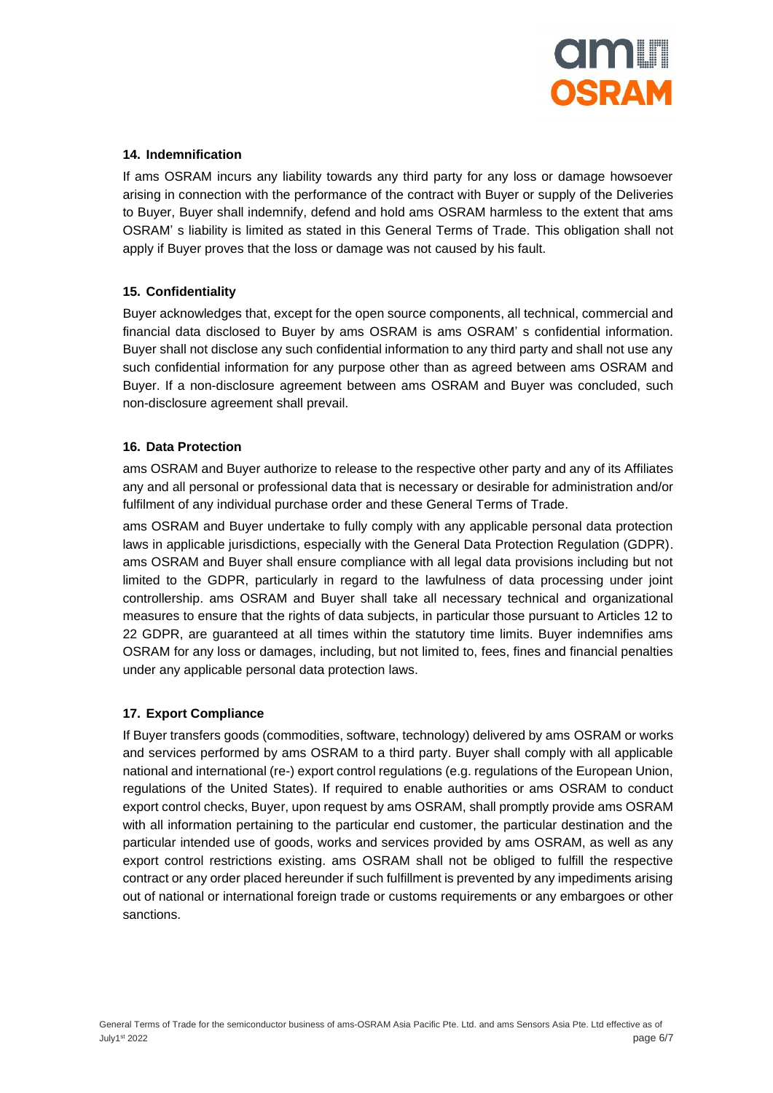

### **14. Indemnification**

If ams OSRAM incurs any liability towards any third party for any loss or damage howsoever arising in connection with the performance of the contract with Buyer or supply of the Deliveries to Buyer, Buyer shall indemnify, defend and hold ams OSRAM harmless to the extent that ams OSRAM' s liability is limited as stated in this General Terms of Trade. This obligation shall not apply if Buyer proves that the loss or damage was not caused by his fault.

# **15. Confidentiality**

Buyer acknowledges that, except for the open source components, all technical, commercial and financial data disclosed to Buyer by ams OSRAM is ams OSRAM' s confidential information. Buyer shall not disclose any such confidential information to any third party and shall not use any such confidential information for any purpose other than as agreed between ams OSRAM and Buyer. If a non-disclosure agreement between ams OSRAM and Buyer was concluded, such non-disclosure agreement shall prevail.

# **16. Data Protection**

ams OSRAM and Buyer authorize to release to the respective other party and any of its Affiliates any and all personal or professional data that is necessary or desirable for administration and/or fulfilment of any individual purchase order and these General Terms of Trade.

ams OSRAM and Buyer undertake to fully comply with any applicable personal data protection laws in applicable jurisdictions, especially with the General Data Protection Regulation (GDPR). ams OSRAM and Buyer shall ensure compliance with all legal data provisions including but not limited to the GDPR, particularly in regard to the lawfulness of data processing under joint controllership. ams OSRAM and Buyer shall take all necessary technical and organizational measures to ensure that the rights of data subjects, in particular those pursuant to Articles 12 to 22 GDPR, are guaranteed at all times within the statutory time limits. Buyer indemnifies ams OSRAM for any loss or damages, including, but not limited to, fees, fines and financial penalties under any applicable personal data protection laws.

#### **17. Export Compliance**

If Buyer transfers goods (commodities, software, technology) delivered by ams OSRAM or works and services performed by ams OSRAM to a third party. Buyer shall comply with all applicable national and international (re-) export control regulations (e.g. regulations of the European Union, regulations of the United States). If required to enable authorities or ams OSRAM to conduct export control checks, Buyer, upon request by ams OSRAM, shall promptly provide ams OSRAM with all information pertaining to the particular end customer, the particular destination and the particular intended use of goods, works and services provided by ams OSRAM, as well as any export control restrictions existing. ams OSRAM shall not be obliged to fulfill the respective contract or any order placed hereunder if such fulfillment is prevented by any impediments arising out of national or international foreign trade or customs requirements or any embargoes or other sanctions.